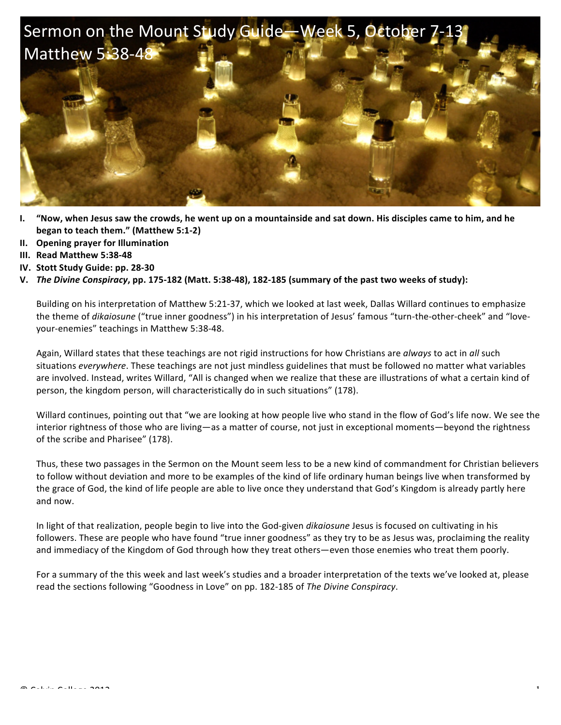

- **I.** "Now, when Jesus saw the crowds, he went up on a mountainside and sat down. His disciples came to him, and he **began to teach them."** (Matthew 5:1-2)
- **II. Opening prayer for Illumination**
- **III. Read Matthew 5:38-48**
- **IV.** Stott Study Guide: pp. 28-30
- **V.** The Divine Conspiracy, pp. 175-182 (Matt. 5:38-48), 182-185 (summary of the past two weeks of study):

Building on his interpretation of Matthew 5:21-37, which we looked at last week, Dallas Willard continues to emphasize the theme of *dikaiosune* ("true inner goodness") in his interpretation of Jesus' famous "turn-the-other-cheek" and "loveyour-enemies" teachings in Matthew 5:38-48.

Again, Willard states that these teachings are not rigid instructions for how Christians are *always* to act in *all* such situations *everywhere*. These teachings are not just mindless guidelines that must be followed no matter what variables are involved. Instead, writes Willard, "All is changed when we realize that these are illustrations of what a certain kind of person, the kingdom person, will characteristically do in such situations" (178).

Willard continues, pointing out that "we are looking at how people live who stand in the flow of God's life now. We see the interior rightness of those who are living—as a matter of course, not just in exceptional moments—beyond the rightness of the scribe and Pharisee" (178).

Thus, these two passages in the Sermon on the Mount seem less to be a new kind of commandment for Christian believers to follow without deviation and more to be examples of the kind of life ordinary human beings live when transformed by the grace of God, the kind of life people are able to live once they understand that God's Kingdom is already partly here and now. 

In light of that realization, people begin to live into the God-given *dikaiosune* Jesus is focused on cultivating in his followers. These are people who have found "true inner goodness" as they try to be as Jesus was, proclaiming the reality and immediacy of the Kingdom of God through how they treat others—even those enemies who treat them poorly.

For a summary of the this week and last week's studies and a broader interpretation of the texts we've looked at, please read the sections following "Goodness in Love" on pp. 182-185 of *The Divine Conspiracy*.